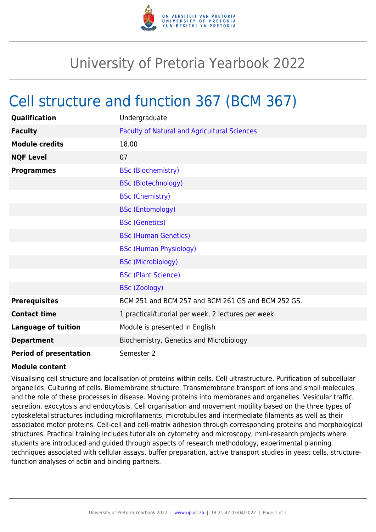

## University of Pretoria Yearbook 2022

## Cell structure and function 367 (BCM 367)

| Qualification                 | Undergraduate                                       |
|-------------------------------|-----------------------------------------------------|
| <b>Faculty</b>                | <b>Faculty of Natural and Agricultural Sciences</b> |
| <b>Module credits</b>         | 18.00                                               |
| <b>NQF Level</b>              | 07                                                  |
| <b>Programmes</b>             | <b>BSc (Biochemistry)</b>                           |
|                               | <b>BSc (Biotechnology)</b>                          |
|                               | <b>BSc (Chemistry)</b>                              |
|                               | <b>BSc (Entomology)</b>                             |
|                               | <b>BSc (Genetics)</b>                               |
|                               | <b>BSc (Human Genetics)</b>                         |
|                               | <b>BSc (Human Physiology)</b>                       |
|                               | <b>BSc (Microbiology)</b>                           |
|                               | <b>BSc (Plant Science)</b>                          |
|                               | <b>BSc (Zoology)</b>                                |
| <b>Prerequisites</b>          | BCM 251 and BCM 257 and BCM 261 GS and BCM 252 GS.  |
| <b>Contact time</b>           | 1 practical/tutorial per week, 2 lectures per week  |
| <b>Language of tuition</b>    | Module is presented in English                      |
| <b>Department</b>             | Biochemistry, Genetics and Microbiology             |
| <b>Period of presentation</b> | Semester 2                                          |

## **Module content**

Visualising cell structure and localisation of proteins within cells. Cell ultrastructure. Purification of subcellular organelles. Culturing of cells. Biomembrane structure. Transmembrane transport of ions and small molecules and the role of these processes in disease. Moving proteins into membranes and organelles. Vesicular traffic, secretion, exocytosis and endocytosis. Cell organisation and movement motility based on the three types of cytoskeletal structures including microfilaments, microtubules and intermediate filaments as well as their associated motor proteins. Cell-cell and cell-matrix adhesion through corresponding proteins and morphological structures. Practical training includes tutorials on cytometry and microscopy, mini-research projects where students are introduced and guided through aspects of research methodology, experimental planning techniques associated with cellular assays, buffer preparation, active transport studies in yeast cells, structurefunction analyses of actin and binding partners.